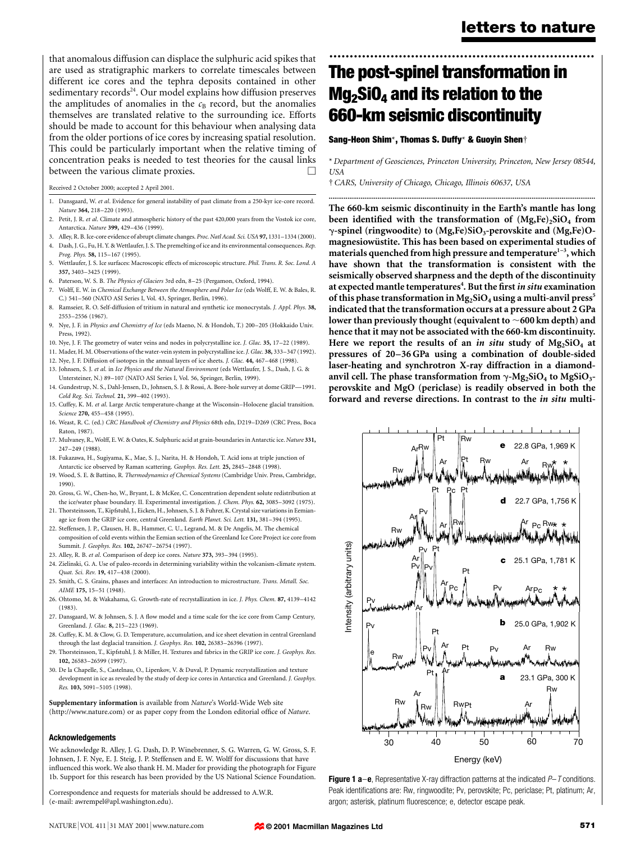that anomalous diffusion can displace the sulphuric acid spikes that are used as stratigraphic markers to correlate timescales between different ice cores and the tephra deposits contained in other sedimentary records<sup>24</sup>. Our model explains how diffusion preserves the amplitudes of anomalies in the  $c<sub>B</sub>$  record, but the anomalies themselves are translated relative to the surrounding ice. Efforts should be made to account for this behaviour when analysing data from the older portions of ice cores by increasing spatial resolution. This could be particularly important when the relative timing of concentration peaks is needed to test theories for the causal links between the various climate proxies.

Received 2 October 2000; accepted 2 April 2001.

- 1. Dansgaard, W. et al. Evidence for general instability of past climate from a 250-kyr ice-core record. Nature 364, 218-220 (1993).
- 2. Petit, J. R. et al. Climate and atmospheric history of the past 420,000 years from the Vostok ice core, Antarctica. Nature 399, 429-436 (1999).
- 3. Alley, R. B. Ice-core evidence of abrupt climate changes. Proc. Natl Acad. Sci. USA 97, 1331–1334 (2000).
- 4. Dash, J. G., Fu, H. Y. & Wettlaufer, J. S. The premelting of ice and its environmental consequences. Rep. Prog. Phys. 58, 115-167 (1995).
- 5. Wettlaufer, J. S. Ice surfaces: Macroscopic effects of microscopic structure. Phil. Trans. R. Soc. Lond. A 357, 3403±3425 (1999).
- 6. Paterson, W. S. B. The Physics of Glaciers 3rd edn, 8-25 (Pergamon, Oxford, 1994).
- 7. Wolff, E. W. in Chemical Exchange Between the Atmosphere and Polar Ice (eds Wolff, E. W. & Bales, R. C.) 541-560 (NATO ASI Series I, Vol. 43, Springer, Berlin, 1996).
- 8. Ramseier, R. O. Self-diffusion of tritium in natural and synthetic ice monocrystals. J. Appl. Phys. 38, 2553±2556 (1967).
- 9. Nye, J. F. in Physics and Chemistry of Ice (eds Maeno, N. & Hondoh, T.) 200-205 (Hokkaido Univ. Press, 1992).
- 10. Nye, J. F. The geometry of water veins and nodes in polycrystalline ice. *J. Glac.* 35, 17-22 (1989).
- 11. Mader, H. M. Observations of the water-vein system in polycrystalline ice. J. Glac. 38, 333-347 (1992).
- 12. Nye, J. F. Diffusion of isotopes in the annual layers of ice sheets. J. Glac. 44, 467-468 (1998).
- 13. Johnsen, S. J. et al. in Ice Physics and the Natural Environment (eds Wettlaufer, J. S., Dash, J. G. & Untersteiner, N.) 89-107 (NATO ASI Series I, Vol. 56, Springer, Berlin, 1999).
- 14. Gundestrup, N. S., Dahl-Jensen, D., Johnsen, S. J. & Rossi, A. Bore-hole survey at dome GRIP-1991. Cold Reg. Sci. Technol. 21, 399-402 (1993).
- 15. Cuffey, K. M. et al. Large Arctic temperature-change at the Wisconsin-Holocene glacial transition. Science 270, 455-458 (1995).
- 16. Weast, R. C. (ed.) CRC Handbook of Chemistry and Physics 68th edn, D219-D269 (CRC Press, Boca Raton, 1987).
- 17. Mulvaney, R., Wolff, E. W. & Oates, K. Sulphuric acid at grain-boundaries in Antarctic ice. Nature 331, 247±249 (1988).
- 18. Fukazawa, H., Sugiyama, K., Mae, S. J., Narita, H. & Hondoh, T. Acid ions at triple junction of Antarctic ice observed by Raman scattering. Geophys. Res. Lett. 25, 2845-2848 (1998).
- 19. Wood, S. E. & Battino, R. Thermodynamics of Chemical Systems (Cambridge Univ. Press, Cambridge, 1990).
- 20. Gross, G. W., Chen-ho, W., Bryant, L. & McKee, C. Concentration dependent solute redistribution at the ice/water phase boundary. II. Experimental investigation. J. Chem. Phys. 62, 3085-3092 (1975).
- 21. Thorsteinsson, T., Kipfstuhl, J., Eicken, H., Johnsen, S. J. & Fuhrer, K. Crystal size variations in Eemianage ice from the GRIP ice core, central Greenland. Earth Planet. Sci. Lett. 131, 381-394 (1995).
- 22. Steffensen, J. P., Clausen, H. B., Hammer, C. U., Legrand, M. & De Angelis, M. The chemical composition of cold events within the Eemian section of the Greenland Ice Core Project ice core from Summit. J. Geophys. Res. 102, 26747-26754 (1997).
- 23. Alley, R. B. et al. Comparison of deep ice cores. Nature 373, 393-394 (1995).
- 24. Zielinski, G. A. Use of paleo-records in determining variability within the volcanism-climate system. Quat. Sci. Rev. 19, 417-438 (2000).
- 25. Smith, C. S. Grains, phases and interfaces: An introduction to microstructure. Trans. Metall. Soc. AIME 175, 15-51 (1948).
- 26. Ohtomo, M. & Wakahama, G. Growth-rate of recrystallization in ice. J. Phys. Chem. 87, 4139-4142 (1983).
- 27. Dansgaard, W. & Johnsen, S. J. A flow model and a time scale for the ice core from Camp Century, Greenland. J. Glac. 8, 215-223 (1969).
- 28. Cuffey, K. M. & Clow, G. D. Temperature, accumulation, and ice sheet elevation in central Greenland through the last deglacial transition. J. Geophys. Res. 102, 26383-26396 (1997).
- 29. Thorsteinsson, T., Kipfstuhl, J. & Miller, H. Textures and fabrics in the GRIP ice core. J. Geophys. Res. 102, 26583±26599 (1997).
- 30. De la Chapelle, S., Castelnau, O., Lipenkov, V. & Duval, P. Dynamic recrystallization and texture development in ice as revealed by the study of deep ice cores in Antarctica and Greenland. J. Geophys. Res. 103, 5091-5105 (1998).

Supplementary information is available from Nature's World-Wide Web site (http://www.nature.com) or as paper copy from the London editorial office of Nature.

#### Acknowledgements

We acknowledge R. Alley, J. G. Dash, D. P. Winebrenner, S. G. Warren, G. W. Gross, S. F. Johnsen, J. F. Nye, E. J. Steig, J. P. Steffensen and E. W. Wolff for discussions that have influenced this work. We also thank H. M. Mader for providing the photograph for Figure 1b. Support for this research has been provided by the US National Science Foundation.

Correspondence and requests for materials should be addressed to A.W.R. (e-mail: awrempel@apl.washington.edu).

## ................................................................. The post-spinel transformation in  $Mq_2$ SiO<sub>4</sub> and its relation to the 660-km seismic discontinuity

#### Sang-Heon Shim<sup>\*</sup>, Thomas S. Duffy<sup>\*</sup> & Guoyin Shen<sup>+</sup>

\* Department of Geosciences, Princeton University, Princeton, New Jersey 08544, USA

..............................................................................................................................................

² CARS, University of Chicago, Chicago, Illinois 60637, USA

The 660-km seismic discontinuity in the Earth's mantle has long been identified with the transformation of  $(Mg,Fe)_{2}SiO_{4}$  from  $\gamma$ -spinel (ringwoodite) to (Mg,Fe)SiO<sub>3</sub>-perovskite and (Mg,Fe)Omagnesiowüstite. This has been based on experimental studies of materials quenched from high pressure and temperature<sup>1-3</sup>, which have shown that the transformation is consistent with the seismically observed sharpness and the depth of the discontinuity at expected mantle temperatures<sup>4</sup>. But the first *in situ* examination of this phase transformation in Mg<sub>2</sub>SiO<sub>4</sub> using a multi-anvil press<sup>5</sup> indicated that the transformation occurs at a pressure about 2 GPa lower than previously thought (equivalent to  $\sim$  600 km depth) and hence that it may not be associated with the 660-km discontinuity. Here we report the results of an *in situ* study of  $Mg_2SiO<sub>4</sub>$  at pressures of 20-36 GPa using a combination of double-sided laser-heating and synchrotron X-ray diffraction in a diamondanvil cell. The phase transformation from  $\gamma$ -Mg<sub>2</sub>SiO<sub>4</sub> to MgSiO<sub>3</sub>perovskite and MgO (periclase) is readily observed in both the forward and reverse directions. In contrast to the in situ multi-



**Figure 1 a-e**, Representative X-ray diffraction patterns at the indicated  $P-T$  conditions. Peak identifications are: Rw, ringwoodite; Pv, perovskite; Pc, periclase; Pt, platinum; Ar, argon; asterisk, platinum fluorescence; e, detector escape peak.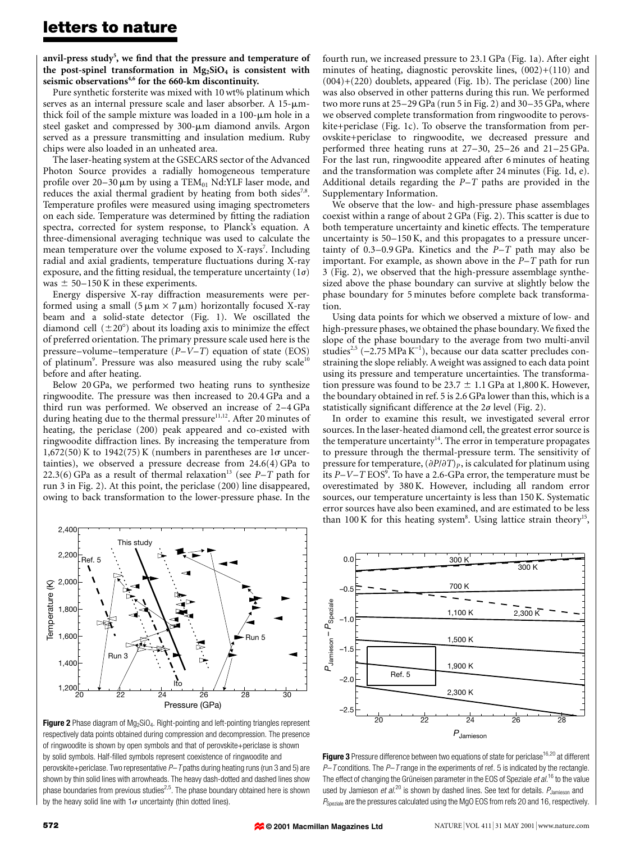anvil-press study $^5$ , we find that the pressure and temperature of the post-spinel transformation in  $Mg_2SiO_4$  is consistent with seismic observations<sup>4,6</sup> for the 660-km discontinuity.

Pure synthetic forsterite was mixed with 10 wt% platinum which serves as an internal pressure scale and laser absorber. A  $15$ - $\mu$ mthick foil of the sample mixture was loaded in a  $100$ - $\mu$ m hole in a steel gasket and compressed by  $300$ - $\mu$ m diamond anvils. Argon served as a pressure transmitting and insulation medium. Ruby chips were also loaded in an unheated area.

The laser-heating system at the GSECARS sector of the Advanced Photon Source provides a radially homogeneous temperature profile over 20-30  $\mu$ m by using a TEM<sub>01</sub> Nd:YLF laser mode, and reduces the axial thermal gradient by heating from both sides<sup>7,8</sup>. Temperature profiles were measured using imaging spectrometers on each side. Temperature was determined by fitting the radiation spectra, corrected for system response, to Planck's equation. A three-dimensional averaging technique was used to calculate the mean temperature over the volume exposed to X-rays<sup>7</sup>. Including radial and axial gradients, temperature fluctuations during X-ray exposure, and the fitting residual, the temperature uncertainty ( $1\sigma$ ) was  $\pm$  50–150 K in these experiments.

Energy dispersive X-ray diffraction measurements were performed using a small  $(5 \mu m \times 7 \mu m)$  horizontally focused X-ray beam and a solid-state detector (Fig. 1). We oscillated the diamond cell  $(\pm 20^{\circ})$  about its loading axis to minimize the effect of preferred orientation. The primary pressure scale used here is the pressure-volume-temperature  $(P-V-T)$  equation of state (EOS) of platinum<sup>9</sup>. Pressure was also measured using the ruby scale<sup>10</sup> before and after heating.

Below 20 GPa, we performed two heating runs to synthesize ringwoodite. The pressure was then increased to 20.4 GPa and a third run was performed. We observed an increase of  $2-4$  GPa during heating due to the thermal pressure<sup>11,12</sup>. After 20 minutes of heating, the periclase (200) peak appeared and co-existed with ringwoodite diffraction lines. By increasing the temperature from 1,672(50) K to 1942(75) K (numbers in parentheses are  $1\sigma$  uncertainties), we observed a pressure decrease from 24.6(4) GPa to 22.3(6) GPa as a result of thermal relaxation<sup>13</sup> (see  $P-T$  path for run 3 in Fig. 2). At this point, the periclase (200) line disappeared, owing to back transformation to the lower-pressure phase. In the



**Figure 2** Phase diagram of  $Mg_2SiO_4$ . Right-pointing and left-pointing triangles represent respectively data points obtained during compression and decompression. The presence of ringwoodite is shown by open symbols and that of perovskite+periclase is shown by solid symbols. Half-filled symbols represent coexistence of ringwoodite and perovskite+periclase. Two representative  $P$ -T paths during heating runs (run 3 and 5) are shown by thin solid lines with arrowheads. The heavy dash-dotted and dashed lines show phase boundaries from previous studies $^{2,5}$ . The phase boundary obtained here is shown by the heavy solid line with  $1\sigma$  uncertainty (thin dotted lines).

fourth run, we increased pressure to 23.1 GPa (Fig. 1a). After eight minutes of heating, diagnostic perovskite lines, (002)+(110) and (004)+(220) doublets, appeared (Fig. 1b). The periclase (200) line was also observed in other patterns during this run. We performed two more runs at  $25-29$  GPa (run 5 in Fig. 2) and  $30-35$  GPa, where we observed complete transformation from ringwoodite to perovskite+periclase (Fig. 1c). To observe the transformation from perovskite+periclase to ringwoodite, we decreased pressure and performed three heating runs at  $27-30$ ,  $25-26$  and  $21-25$  GPa. For the last run, ringwoodite appeared after 6 minutes of heating and the transformation was complete after 24 minutes (Fig. 1d, e). Additional details regarding the  $P-T$  paths are provided in the Supplementary Information.

We observe that the low- and high-pressure phase assemblages coexist within a range of about 2 GPa (Fig. 2). This scatter is due to both temperature uncertainty and kinetic effects. The temperature uncertainty is  $50-150$  K, and this propagates to a pressure uncertainty of  $0.3-0.9$  GPa. Kinetics and the  $P-T$  path may also be important. For example, as shown above in the  $P-T$  path for run 3 (Fig. 2), we observed that the high-pressure assemblage synthesized above the phase boundary can survive at slightly below the phase boundary for 5 minutes before complete back transformation.

Using data points for which we observed a mixture of low- and high-pressure phases, we obtained the phase boundary. We fixed the slope of the phase boundary to the average from two multi-anvil studies<sup>2,5</sup> (-2.75 MPa  $K^{-1}$ ), because our data scatter precludes constraining the slope reliably. Aweight was assigned to each data point using its pressure and temperature uncertainties. The transformation pressure was found to be 23.7  $\pm$  1.1 GPa at 1,800 K. However, the boundary obtained in ref. 5 is 2.6 GPa lower than this, which is a statistically significant difference at the  $2\sigma$  level (Fig. 2).

In order to examine this result, we investigated several error sources. In the laser-heated diamond cell, the greatest error source is the temperature uncertainty $14$ . The error in temperature propagates to pressure through the thermal-pressure term. The sensitivity of pressure for temperature,  $(\partial P/\partial T)_P$ , is calculated for platinum using its  $P\!-\!V\!-\!T\!\text{ EOS}^9.$  To have a 2.6-GPa error, the temperature must be overestimated by 380 K. However, including all random error sources, our temperature uncertainty is less than 150 K. Systematic error sources have also been examined, and are estimated to be less than 100 K for this heating system<sup>8</sup>. Using lattice strain theory<sup>15</sup>,



**Figure 3** Pressure difference between two equations of state for periclase<sup>16,20</sup> at different  $P$  T conditions. The  $P$  T range in the experiments of ref. 5 is indicated by the rectangle. The effect of changing the Grüneisen parameter in the EOS of Speziale et al.<sup>16</sup> to the value used by Jamieson et al.<sup>20</sup> is shown by dashed lines. See text for details.  $P_{\text{lamieson}}$  and  $P_{Sneriale}$  are the pressures calculated using the MgO EOS from refs 20 and 16, respectively.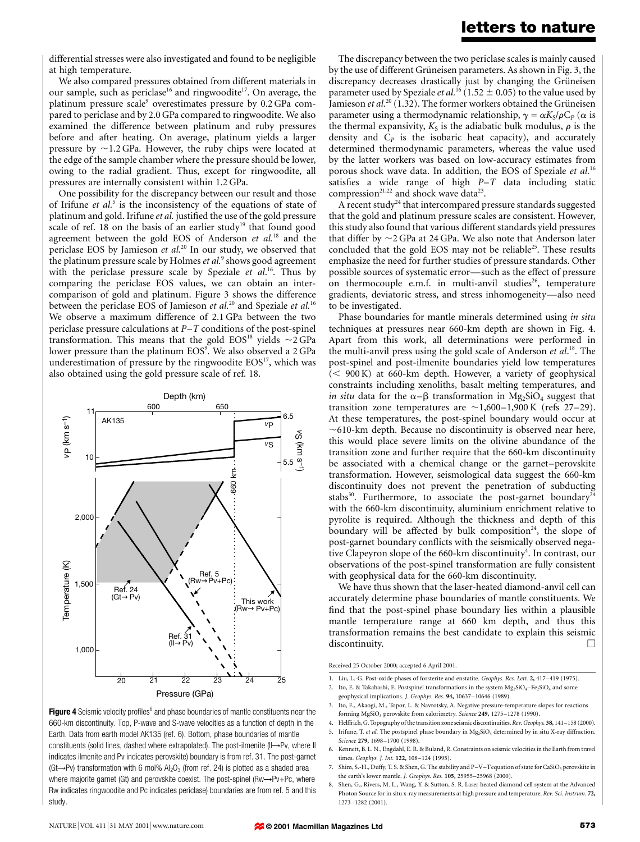### letters to nature

differential stresses were also investigated and found to be negligible at high temperature.

We also compared pressures obtained from different materials in our sample, such as periclase<sup>16</sup> and ringwoodite<sup>17</sup>. On average, the platinum pressure scale<sup>9</sup> overestimates pressure by 0.2 GPa compared to periclase and by 2.0 GPa compared to ringwoodite. We also examined the difference between platinum and ruby pressures before and after heating. On average, platinum yields a larger pressure by  $\sim$ 1.2 GPa. However, the ruby chips were located at the edge of the sample chamber where the pressure should be lower, owing to the radial gradient. Thus, except for ringwoodite, all pressures are internally consistent within 1.2 GPa.

One possibility for the discrepancy between our result and those of Irifune et  $al$ <sup>5</sup> is the inconsistency of the equations of state of platinum and gold. Irifune et al. justified the use of the gold pressure scale of ref. 18 on the basis of an earlier study<sup>19</sup> that found good agreement between the gold EOS of Anderson et  $al$ <sup>18</sup> and the periclase EOS by Jamieson et al.<sup>20</sup> In our study, we observed that the platinum pressure scale by Holmes et  $al$ <sup>9</sup> shows good agreement with the periclase pressure scale by Speziale et al.<sup>16</sup>. Thus by comparing the periclase EOS values, we can obtain an intercomparison of gold and platinum. Figure 3 shows the difference between the periclase EOS of Jamieson et al.<sup>20</sup> and Speziale et al.<sup>16</sup> We observe a maximum difference of 2.1 GPa between the two periclase pressure calculations at  $P-T$  conditions of the post-spinel transformation. This means that the gold EOS<sup>18</sup> yields  $\sim$ 2 GPa lower pressure than the platinum EOS<sup>9</sup>. We also observed a 2 GPa underestimation of pressure by the ringwoodite  $EOS<sup>17</sup>$ , which was also obtained using the gold pressure scale of ref. 18.



Figure 4 Seismic velocity profiles<sup>6</sup> and phase boundaries of mantle constituents near the 660-km discontinuity. Top, P-wave and S-wave velocities as a function of depth in the Earth. Data from earth model AK135 (ref. 6). Bottom, phase boundaries of mantle constituents (solid lines, dashed where extrapolated). The post-ilmenite (II->Pv, where II indicates ilmenite and Pv indicates perovskite) boundary is from ref. 31. The post-garnet (Gt  $\rightarrow$  Pv) transformation with 6 mol% Al<sub>2</sub>O<sub>3</sub> (from ref. 24) is plotted as a shaded area where majorite garnet (Gt) and perovskite coexist. The post-spinel (Rw $\rightarrow$ Pv+Pc, where Rw indicates ringwoodite and Pc indicates periclase) boundaries are from ref. 5 and this study.

The discrepancy between the two periclase scales is mainly caused by the use of different Grüneisen parameters. As shown in Fig. 3, the discrepancy decreases drastically just by changing the Grüneisen parameter used by Speziale *et al.*<sup>16</sup> (1.52  $\pm$  0.05) to the value used by Jamieson et al.<sup>20</sup> (1.32). The former workers obtained the Grüneisen parameter using a thermodynamic relationship,  $\gamma = \alpha K_s/\rho C_p$  ( $\alpha$  is the thermal expansivity,  $K_S$  is the adiabatic bulk modulus,  $\rho$  is the density and  $C_p$  is the isobaric heat capacity), and accurately determined thermodynamic parameters, whereas the value used by the latter workers was based on low-accuracy estimates from porous shock wave data. In addition, the EOS of Speziale et al.<sup>16</sup> satisfies a wide range of high  $P-T$  data including static compression<sup>21,22</sup> and shock wave data<sup>23</sup>.

A recent study<sup>24</sup> that intercompared pressure standards suggested that the gold and platinum pressure scales are consistent. However, this study also found that various different standards yield pressures that differ by  $\sim$  2 GPa at 24 GPa. We also note that Anderson later concluded that the gold EOS may not be reliable<sup>25</sup>. These results emphasize the need for further studies of pressure standards. Other possible sources of systematic error—such as the effect of pressure on thermocouple e.m.f. in multi-anvil studies<sup>26</sup>, temperature gradients, deviatoric stress, and stress inhomogeneity—also need to be investigated.

Phase boundaries for mantle minerals determined using in situ techniques at pressures near 660-km depth are shown in Fig. 4. Apart from this work, all determinations were performed in the multi-anvil press using the gold scale of Anderson et al.<sup>18</sup>. The post-spinel and post-ilmenite boundaries yield low temperatures  $(< 900 K$ ) at 660-km depth. However, a variety of geophysical constraints including xenoliths, basalt melting temperatures, and *in situ* data for the  $\alpha-\beta$  transformation in Mg<sub>2</sub>SiO<sub>4</sub> suggest that transition zone temperatures are  $\sim$ 1,600-1,900 K (refs 27-29). At these temperatures, the post-spinel boundary would occur at  $\sim$ 610-km depth. Because no discontinuity is observed near here, this would place severe limits on the olivine abundance of the transition zone and further require that the 660-km discontinuity be associated with a chemical change or the garnet-perovskite transformation. However, seismological data suggest the 660-km discontinuity does not prevent the penetration of subducting stabs<sup>30</sup>. Furthermore, to associate the post-garnet boundary<sup>24</sup> with the 660-km discontinuity, aluminium enrichment relative to pyrolite is required. Although the thickness and depth of this boundary will be affected by bulk composition<sup>24</sup>, the slope of post-garnet boundary conflicts with the seismically observed negative Clapeyron slope of the 660-km discontinuity<sup>4</sup>. In contrast, our observations of the post-spinel transformation are fully consistent with geophysical data for the 660-km discontinuity.

We have thus shown that the laser-heated diamond-anvil cell can accurately determine phase boundaries of mantle constituents. We find that the post-spinel phase boundary lies within a plausible mantle temperature range at 660 km depth, and thus this transformation remains the best candidate to explain this seismic discontinuity.

Received 25 October 2000; accepted 6 April 2001.

- 1. Liu, L.-G. Post-oxide phases of forsterite and enstatite. Geophys. Res. Lett. 2, 417-419 (1975).
- 2. Ito, E. & Takahashi, E. Postspinel transformations in the system  $Mg_2SiO_4-Fe_2SiO_4$  and some geophysical implications. J. Geophys. Res. 94, 10637-10646 (1989).

<sup>3.</sup> Ito, E., Akaogi, M., Topor, L. & Navrotsky, A. Negative pressure-temperature slopes for reactions forming MgSiO<sub>3</sub> perovskite from calorimetry. Science 249, 1275-1278 (1990).

<sup>4.</sup> Helffrich, G. Topography of the transition zone seismic discontinuities. Rev. Geophys. 38, 141-158 (2000). 5. Irifune, T. et al. The postspinel phase boundary in  $Mg_2SiO_4$  determined by in situ X-ray diffraction. Science 279, 1698-1700 (1998).

<sup>6.</sup> Kennett, B. L. N., Engdahl, E. R. & Buland, R. Constraints on seismic velocities in the Earth from travel times. Geophys. I. Int. 122, 108-124 (1995).

<sup>7.</sup> Shim, S.-H., Duffy, T. S. & Shen, G. The stability and P-V-Tequation of state for CaSiO<sub>3</sub> perovskite in the earth's lower mantle. J. Geophys. Res. 105, 25955-25968 (2000).

<sup>8.</sup> Shen, G., Rivers, M. L., Wang, Y. & Sutton, S. R. Laser heated diamond cell system at the Advanced Photon Source for in situ x-ray measurements at high pressure and temperature. Rev. Sci. Instrum. 72, 1273±1282 (2001).